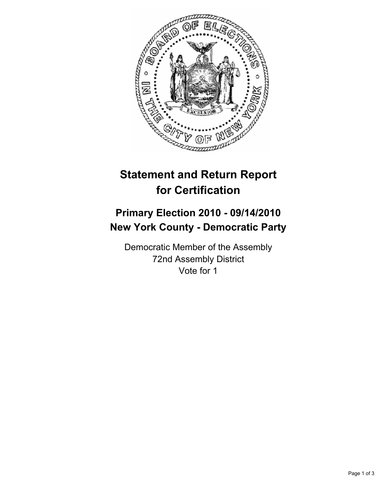

## **Statement and Return Report for Certification**

## **Primary Election 2010 - 09/14/2010 New York County - Democratic Party**

Democratic Member of the Assembly 72nd Assembly District Vote for 1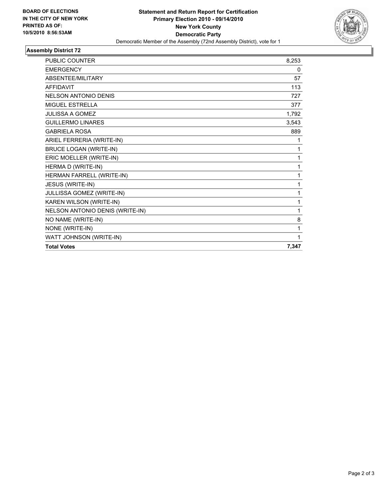

## **Assembly District 72**

| <b>Total Votes</b>              | 7,347 |
|---------------------------------|-------|
| WATT JOHNSON (WRITE-IN)         | 1     |
| NONE (WRITE-IN)                 | 1     |
| NO NAME (WRITE-IN)              | 8     |
| NELSON ANTONIO DENIS (WRITE-IN) | 1     |
| KAREN WILSON (WRITE-IN)         | 1     |
| JULLISSA GOMEZ (WRITE-IN)       | 1     |
| JESUS (WRITE-IN)                | 1     |
| HERMAN FARRELL (WRITE-IN)       | 1     |
| HERMA D (WRITE-IN)              | 1     |
| ERIC MOELLER (WRITE-IN)         | 1     |
| <b>BRUCE LOGAN (WRITE-IN)</b>   | 1     |
| ARIEL FERRERIA (WRITE-IN)       | 1     |
| <b>GABRIELA ROSA</b>            | 889   |
| <b>GUILLERMO LINARES</b>        | 3,543 |
| <b>JULISSA A GOMEZ</b>          | 1,792 |
| <b>MIGUEL ESTRELLA</b>          | 377   |
| <b>NELSON ANTONIO DENIS</b>     | 727   |
| <b>AFFIDAVIT</b>                | 113   |
| ABSENTEE/MILITARY               | 57    |
| <b>EMERGENCY</b>                | 0     |
| <b>PUBLIC COUNTER</b>           | 8,253 |